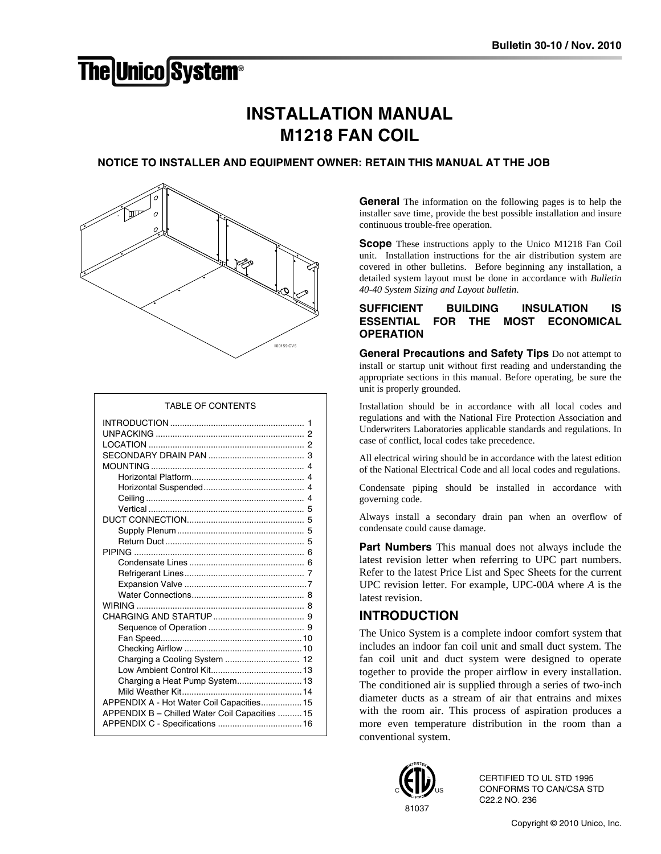# **The Unico System®**

# **INSTALLATION MANUAL M1218 FAN COIL**

## **NOTICE TO INSTALLER AND EQUIPMENT OWNER: RETAIN THIS MANUAL AT THE JOB**



#### TABLE OF CONTENTS

| 1                                              |
|------------------------------------------------|
| 2                                              |
|                                                |
| З                                              |
|                                                |
| 4                                              |
| 4                                              |
|                                                |
| 5                                              |
| 5                                              |
| 5                                              |
|                                                |
| 6                                              |
|                                                |
|                                                |
|                                                |
|                                                |
| 8                                              |
|                                                |
|                                                |
|                                                |
|                                                |
|                                                |
| Charging a Cooling System  12                  |
|                                                |
| Charging a Heat Pump System 13                 |
|                                                |
| APPENDIX A - Hot Water Coil Capacities 15      |
| APPENDIX B - Chilled Water Coil Capacities  15 |
|                                                |
|                                                |

**General** The information on the following pages is to help the installer save time, provide the best possible installation and insure continuous trouble-free operation.

**Scope** These instructions apply to the Unico M1218 Fan Coil unit. Installation instructions for the air distribution system are covered in other bulletins. Before beginning any installation, a detailed system layout must be done in accordance with *Bulletin 40-40 System Sizing and Layout bulletin*.

#### **SUFFICIENT BUILDING INSULATION IS ESSENTIAL FOR THE MOST ECONOMICAL OPERATION**

**General Precautions and Safety Tips** Do not attempt to install or startup unit without first reading and understanding the appropriate sections in this manual. Before operating, be sure the unit is properly grounded.

Installation should be in accordance with all local codes and regulations and with the National Fire Protection Association and Underwriters Laboratories applicable standards and regulations. In case of conflict, local codes take precedence.

All electrical wiring should be in accordance with the latest edition of the National Electrical Code and all local codes and regulations.

Condensate piping should be installed in accordance with governing code.

Always install a secondary drain pan when an overflow of condensate could cause damage.

**Part Numbers** This manual does not always include the latest revision letter when referring to UPC part numbers. Refer to the latest Price List and Spec Sheets for the current UPC revision letter. For example, UPC-00*A* where *A* is the latest revision.

## **INTRODUCTION**

The Unico System is a complete indoor comfort system that includes an indoor fan coil unit and small duct system. The fan coil unit and duct system were designed to operate together to provide the proper airflow in every installation. The conditioned air is supplied through a series of two-inch diameter ducts as a stream of air that entrains and mixes with the room air. This process of aspiration produces a more even temperature distribution in the room than a conventional system.



CERTIFIED TO UL STD 1995 CONFORMS TO CAN/CSA STD C22.2 NO. 236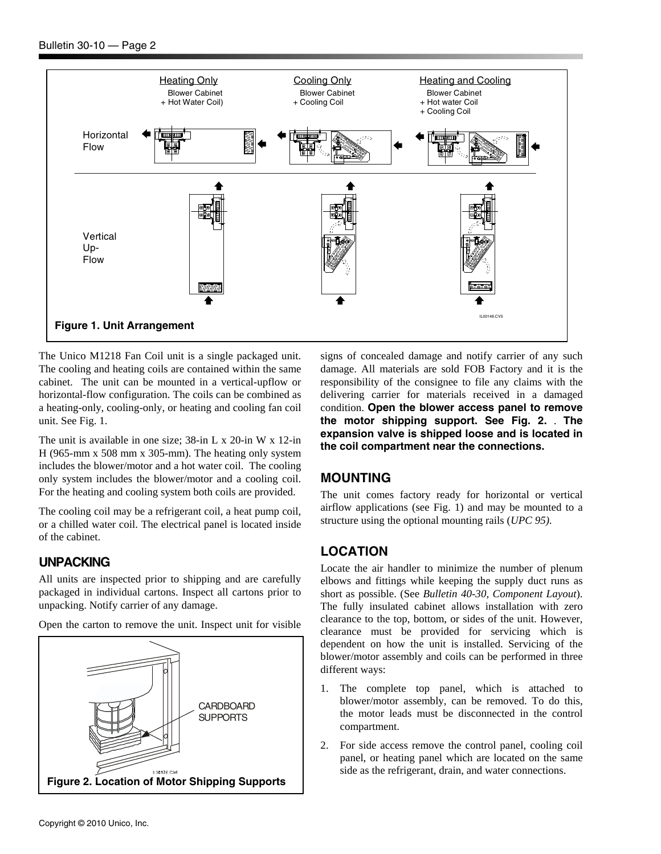

The Unico M1218 Fan Coil unit is a single packaged unit. The cooling and heating coils are contained within the same cabinet. The unit can be mounted in a vertical-upflow or horizontal-flow configuration. The coils can be combined as a heating-only, cooling-only, or heating and cooling fan coil unit. See Fig. 1.

The unit is available in one size; 38-in L x 20-in W x 12-in H (965-mm x 508 mm x 305-mm). The heating only system includes the blower/motor and a hot water coil. The cooling only system includes the blower/motor and a cooling coil. For the heating and cooling system both coils are provided.

The cooling coil may be a refrigerant coil, a heat pump coil, or a chilled water coil. The electrical panel is located inside of the cabinet.

## **UNPACKING**

All units are inspected prior to shipping and are carefully packaged in individual cartons. Inspect all cartons prior to unpacking. Notify carrier of any damage.

Open the carton to remove the unit. Inspect unit for visible



signs of concealed damage and notify carrier of any such damage. All materials are sold FOB Factory and it is the responsibility of the consignee to file any claims with the delivering carrier for materials received in a damaged condition. **Open the blower access panel to remove the motor shipping support. See Fig. 2.** . **The expansion valve is shipped loose and is located in the coil compartment near the connections.** 

## **MOUNTING**

The unit comes factory ready for horizontal or vertical airflow applications (see Fig. 1) and may be mounted to a structure using the optional mounting rails (*UPC 95)*.

## **LOCATION**

Locate the air handler to minimize the number of plenum elbows and fittings while keeping the supply duct runs as short as possible. (See *Bulletin 40-30, Component Layout*). The fully insulated cabinet allows installation with zero clearance to the top, bottom, or sides of the unit. However, clearance must be provided for servicing which is dependent on how the unit is installed. Servicing of the blower/motor assembly and coils can be performed in three different ways:

- 1. The complete top panel, which is attached to blower/motor assembly, can be removed. To do this, the motor leads must be disconnected in the control compartment.
- 2. For side access remove the control panel, cooling coil panel, or heating panel which are located on the same side as the refrigerant, drain, and water connections.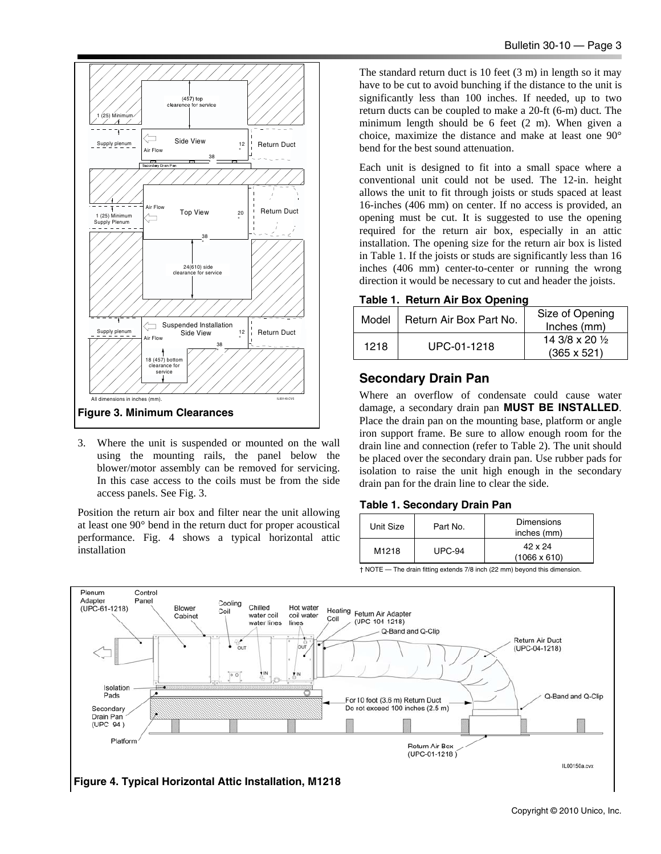

3. Where the unit is suspended or mounted on the wall using the mounting rails, the panel below the blower/motor assembly can be removed for servicing. In this case access to the coils must be from the side access panels. See Fig. 3.

Position the return air box and filter near the unit allowing at least one 90° bend in the return duct for proper acoustical performance. Fig. 4 shows a typical horizontal attic installation

The standard return duct is 10 feet (3 m) in length so it may have to be cut to avoid bunching if the distance to the unit is significantly less than 100 inches. If needed, up to two return ducts can be coupled to make a 20-ft (6-m) duct. The minimum length should be 6 feet (2 m). When given a choice, maximize the distance and make at least one 90° bend for the best sound attenuation.

Each unit is designed to fit into a small space where a conventional unit could not be used. The 12-in. height allows the unit to fit through joists or studs spaced at least 16-inches (406 mm) on center. If no access is provided, an opening must be cut. It is suggested to use the opening required for the return air box, especially in an attic installation. The opening size for the return air box is listed in Table 1. If the joists or studs are significantly less than 16 inches (406 mm) center-to-center or running the wrong direction it would be necessary to cut and header the joists.

|  |  |  | Table 1. Return Air Box Opening |
|--|--|--|---------------------------------|
|--|--|--|---------------------------------|

| Model | Size of Opening<br>Return Air Box Part No.<br>Inches (mm) |                                       |  |  |  |
|-------|-----------------------------------------------------------|---------------------------------------|--|--|--|
| 1218  | UPC-01-1218                                               | 14 3/8 x 20 1/2<br>$(365 \times 521)$ |  |  |  |

## **Secondary Drain Pan**

Where an overflow of condensate could cause water damage, a secondary drain pan **MUST BE INSTALLED**. Place the drain pan on the mounting base, platform or angle iron support frame. Be sure to allow enough room for the drain line and connection (refer to Table 2). The unit should be placed over the secondary drain pan. Use rubber pads for isolation to raise the unit high enough in the secondary drain pan for the drain line to clear the side.

#### **Table 1. Secondary Drain Pan**

| Unit Size | Part No. | <b>Dimensions</b><br>inches (mm) |
|-----------|----------|----------------------------------|
| M1218     | $UPC-94$ | 42 x 24<br>$(1066 \times 610)$   |

† NOTE — The drain fitting extends 7/8 inch (22 mm) beyond this dimension.



**Figure 4. Typical Horizontal Attic Installation, M1218**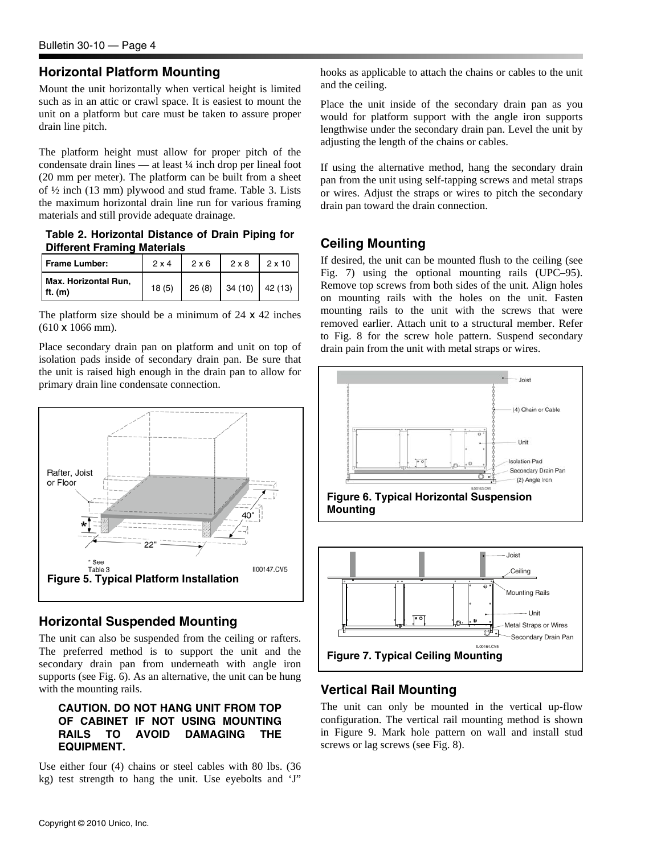## **Horizontal Platform Mounting**

Mount the unit horizontally when vertical height is limited such as in an attic or crawl space. It is easiest to mount the unit on a platform but care must be taken to assure proper drain line pitch.

The platform height must allow for proper pitch of the condensate drain lines — at least ¼ inch drop per lineal foot (20 mm per meter). The platform can be built from a sheet of ½ inch (13 mm) plywood and stud frame. Table 3. Lists the maximum horizontal drain line run for various framing materials and still provide adequate drainage.

**Table 2. Horizontal Distance of Drain Piping for Different Framing Materials** 

| Frame Lumber:                     | $2 \times 4$ | $2 \times 6$                | $2 \times 8$ | $12 \times 10$ |  |
|-----------------------------------|--------------|-----------------------------|--------------|----------------|--|
| Max. Horizontal Run,<br>ft. $(m)$ |              | $18(5)$ 26(8) 34(10) 42(13) |              |                |  |

The platform size should be a minimum of  $24 \times 42$  inches (610 x 1066 mm).

Place secondary drain pan on platform and unit on top of isolation pads inside of secondary drain pan. Be sure that the unit is raised high enough in the drain pan to allow for primary drain line condensate connection.



## **Horizontal Suspended Mounting**

The unit can also be suspended from the ceiling or rafters. The preferred method is to support the unit and the secondary drain pan from underneath with angle iron supports (see Fig. 6). As an alternative, the unit can be hung with the mounting rails.

#### **CAUTION. DO NOT HANG UNIT FROM TOP OF CABINET IF NOT USING MOUNTING RAILS TO AVOID DAMAGING THE EQUIPMENT.**

Use either four (4) chains or steel cables with 80 lbs. (36 kg) test strength to hang the unit. Use eyebolts and 'J" hooks as applicable to attach the chains or cables to the unit and the ceiling.

Place the unit inside of the secondary drain pan as you would for platform support with the angle iron supports lengthwise under the secondary drain pan. Level the unit by adjusting the length of the chains or cables.

If using the alternative method, hang the secondary drain pan from the unit using self-tapping screws and metal straps or wires. Adjust the straps or wires to pitch the secondary drain pan toward the drain connection.

## **Ceiling Mounting**

If desired, the unit can be mounted flush to the ceiling (see Fig. 7) using the optional mounting rails (UPC–95). Remove top screws from both sides of the unit. Align holes on mounting rails with the holes on the unit. Fasten mounting rails to the unit with the screws that were removed earlier. Attach unit to a structural member. Refer to Fig. 8 for the screw hole pattern. Suspend secondary drain pain from the unit with metal straps or wires.



## **Vertical Rail Mounting**

The unit can only be mounted in the vertical up-flow configuration. The vertical rail mounting method is shown in Figure 9. Mark hole pattern on wall and install stud screws or lag screws (see Fig. 8).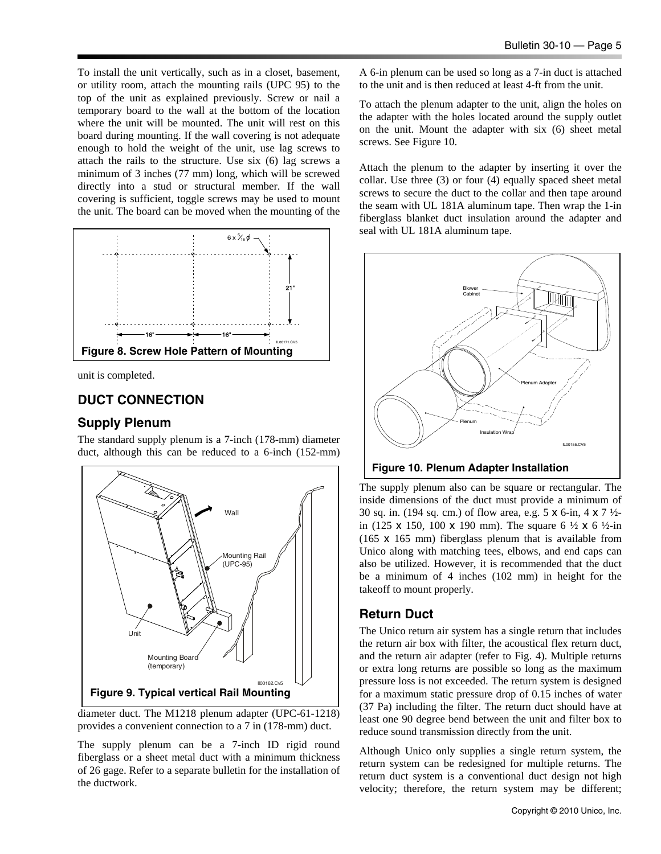To install the unit vertically, such as in a closet, basement, or utility room, attach the mounting rails (UPC 95) to the top of the unit as explained previously. Screw or nail a temporary board to the wall at the bottom of the location where the unit will be mounted. The unit will rest on this board during mounting. If the wall covering is not adequate enough to hold the weight of the unit, use lag screws to attach the rails to the structure. Use six (6) lag screws a minimum of 3 inches (77 mm) long, which will be screwed directly into a stud or structural member. If the wall covering is sufficient, toggle screws may be used to mount the unit. The board can be moved when the mounting of the



unit is completed.

## **DUCT CONNECTION**

#### **Supply Plenum**

The standard supply plenum is a 7-inch (178-mm) diameter duct, although this can be reduced to a 6-inch (152-mm)



diameter duct. The M1218 plenum adapter (UPC-61-1218) provides a convenient connection to a 7 in (178-mm) duct.

The supply plenum can be a 7-inch ID rigid round fiberglass or a sheet metal duct with a minimum thickness of 26 gage. Refer to a separate bulletin for the installation of the ductwork.

A 6-in plenum can be used so long as a 7-in duct is attached to the unit and is then reduced at least 4-ft from the unit.

To attach the plenum adapter to the unit, align the holes on the adapter with the holes located around the supply outlet on the unit. Mount the adapter with six (6) sheet metal screws. See Figure 10.

Attach the plenum to the adapter by inserting it over the collar. Use three (3) or four (4) equally spaced sheet metal screws to secure the duct to the collar and then tape around the seam with UL 181A aluminum tape. Then wrap the 1-in fiberglass blanket duct insulation around the adapter and seal with UL 181A aluminum tape.



#### **Figure 10. Plenum Adapter Installation**

The supply plenum also can be square or rectangular. The inside dimensions of the duct must provide a minimum of 30 sq. in. (194 sq. cm.) of flow area, e.g. 5 x 6-in, 4 x 7  $\frac{1}{2}$ in (125 x 150, 100 x 190 mm). The square 6  $\frac{1}{2}$  x 6  $\frac{1}{2}$ -in (165 x 165 mm) fiberglass plenum that is available from Unico along with matching tees, elbows, and end caps can also be utilized. However, it is recommended that the duct be a minimum of 4 inches (102 mm) in height for the takeoff to mount properly.

#### **Return Duct**

The Unico return air system has a single return that includes the return air box with filter, the acoustical flex return duct, and the return air adapter (refer to Fig. 4). Multiple returns or extra long returns are possible so long as the maximum pressure loss is not exceeded. The return system is designed for a maximum static pressure drop of 0.15 inches of water (37 Pa) including the filter. The return duct should have at least one 90 degree bend between the unit and filter box to reduce sound transmission directly from the unit.

Although Unico only supplies a single return system, the return system can be redesigned for multiple returns. The return duct system is a conventional duct design not high velocity; therefore, the return system may be different;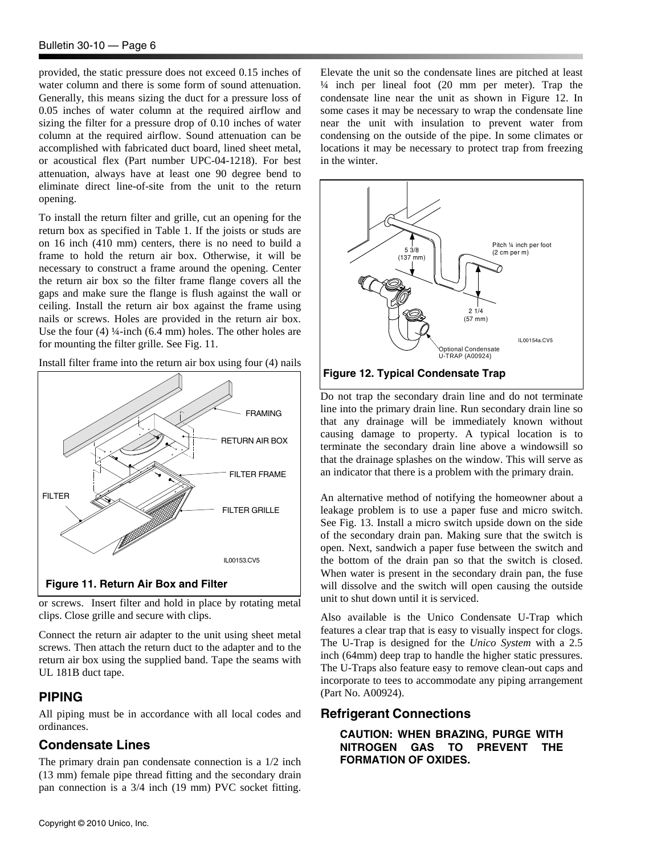provided, the static pressure does not exceed 0.15 inches of water column and there is some form of sound attenuation. Generally, this means sizing the duct for a pressure loss of 0.05 inches of water column at the required airflow and sizing the filter for a pressure drop of 0.10 inches of water column at the required airflow. Sound attenuation can be accomplished with fabricated duct board, lined sheet metal, or acoustical flex (Part number UPC-04-1218). For best attenuation, always have at least one 90 degree bend to eliminate direct line-of-site from the unit to the return opening.

To install the return filter and grille, cut an opening for the return box as specified in Table 1. If the joists or studs are on 16 inch (410 mm) centers, there is no need to build a frame to hold the return air box. Otherwise, it will be necessary to construct a frame around the opening. Center the return air box so the filter frame flange covers all the gaps and make sure the flange is flush against the wall or ceiling. Install the return air box against the frame using nails or screws. Holes are provided in the return air box. Use the four (4) ¼-inch (6.4 mm) holes. The other holes are for mounting the filter grille. See Fig. 11.

Install filter frame into the return air box using four (4) nails





or screws. Insert filter and hold in place by rotating metal clips. Close grille and secure with clips.

Connect the return air adapter to the unit using sheet metal screws. Then attach the return duct to the adapter and to the return air box using the supplied band. Tape the seams with UL 181B duct tape.

#### **PIPING**

All piping must be in accordance with all local codes and ordinances.

#### **Condensate Lines**

The primary drain pan condensate connection is a 1/2 inch (13 mm) female pipe thread fitting and the secondary drain pan connection is a 3/4 inch (19 mm) PVC socket fitting.

Elevate the unit so the condensate lines are pitched at least ¼ inch per lineal foot (20 mm per meter). Trap the condensate line near the unit as shown in Figure 12. In some cases it may be necessary to wrap the condensate line near the unit with insulation to prevent water from condensing on the outside of the pipe. In some climates or locations it may be necessary to protect trap from freezing in the winter.



**Figure 12. Typical Condensate Trap** 

Do not trap the secondary drain line and do not terminate line into the primary drain line. Run secondary drain line so that any drainage will be immediately known without causing damage to property. A typical location is to terminate the secondary drain line above a windowsill so that the drainage splashes on the window. This will serve as an indicator that there is a problem with the primary drain.

An alternative method of notifying the homeowner about a leakage problem is to use a paper fuse and micro switch. See Fig. 13. Install a micro switch upside down on the side of the secondary drain pan. Making sure that the switch is open. Next, sandwich a paper fuse between the switch and the bottom of the drain pan so that the switch is closed. When water is present in the secondary drain pan, the fuse will dissolve and the switch will open causing the outside unit to shut down until it is serviced.

Also available is the Unico Condensate U-Trap which features a clear trap that is easy to visually inspect for clogs. The U-Trap is designed for the *Unico System* with a 2.5 inch (64mm) deep trap to handle the higher static pressures. The U-Traps also feature easy to remove clean-out caps and incorporate to tees to accommodate any piping arrangement (Part No. A00924).

#### **Refrigerant Connections**

**CAUTION: WHEN BRAZING, PURGE WITH NITROGEN GAS TO PREVENT THE FORMATION OF OXIDES.**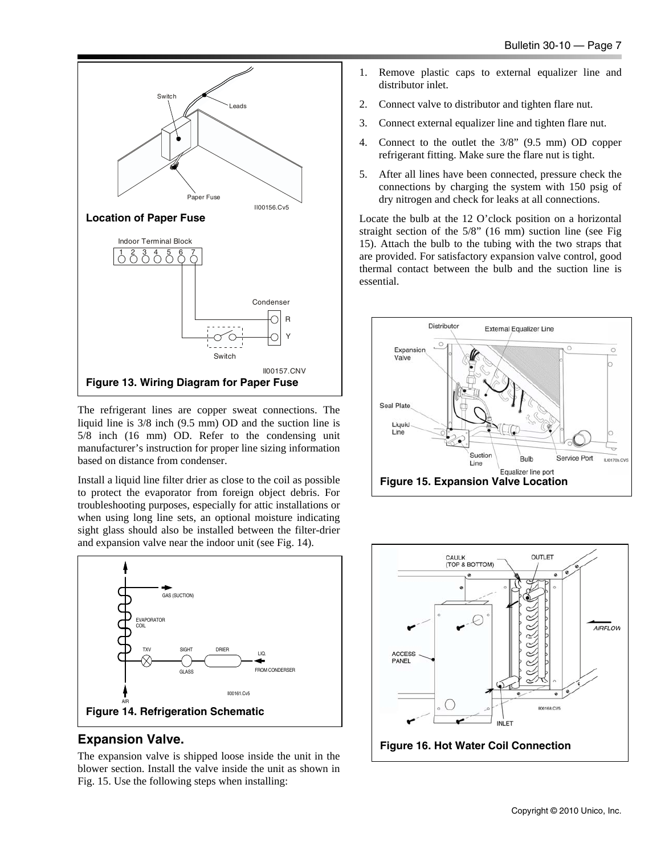

The refrigerant lines are copper sweat connections. The liquid line is 3/8 inch (9.5 mm) OD and the suction line is 5/8 inch (16 mm) OD. Refer to the condensing unit manufacturer's instruction for proper line sizing information based on distance from condenser.

Install a liquid line filter drier as close to the coil as possible to protect the evaporator from foreign object debris. For troubleshooting purposes, especially for attic installations or when using long line sets, an optional moisture indicating sight glass should also be installed between the filter-drier and expansion valve near the indoor unit (see Fig. 14).



## **Expansion Valve.**

The expansion valve is shipped loose inside the unit in the blower section. Install the valve inside the unit as shown in Fig. 15. Use the following steps when installing:

- 1. Remove plastic caps to external equalizer line and distributor inlet.
- 2. Connect valve to distributor and tighten flare nut.
- 3. Connect external equalizer line and tighten flare nut.
- 4. Connect to the outlet the 3/8" (9.5 mm) OD copper refrigerant fitting. Make sure the flare nut is tight.
- 5. After all lines have been connected, pressure check the connections by charging the system with 150 psig of dry nitrogen and check for leaks at all connections.

Locate the bulb at the 12 O'clock position on a horizontal straight section of the 5/8" (16 mm) suction line (see Fig 15). Attach the bulb to the tubing with the two straps that are provided. For satisfactory expansion valve control, good thermal contact between the bulb and the suction line is essential.



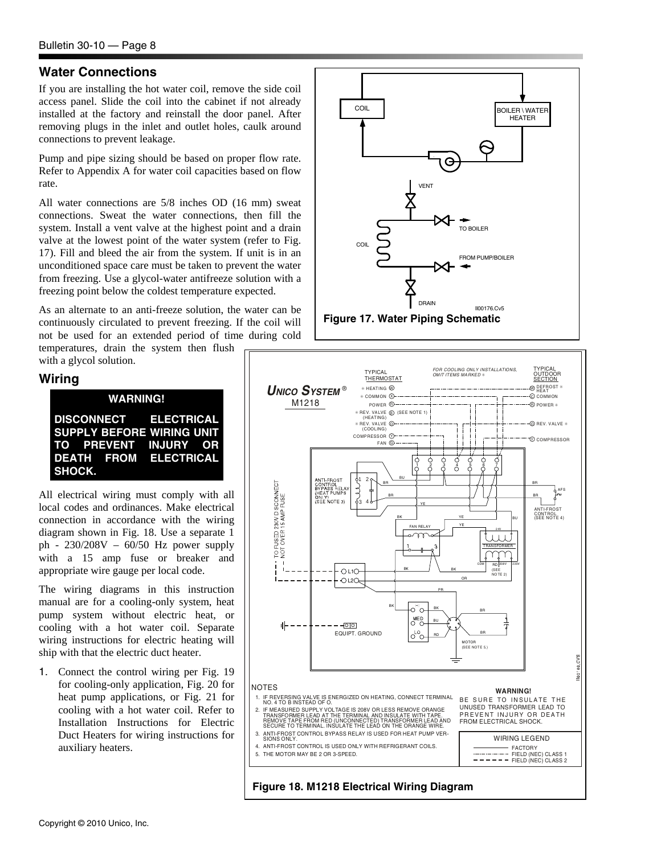## **Water Connections**

If you are installing the hot water coil, remove the side coil access panel. Slide the coil into the cabinet if not already installed at the factory and reinstall the door panel. After removing plugs in the inlet and outlet holes, caulk around connections to prevent leakage.

Pump and pipe sizing should be based on proper flow rate. Refer to Appendix A for water coil capacities based on flow rate.

All water connections are 5/8 inches OD (16 mm) sweat connections. Sweat the water connections, then fill the system. Install a vent valve at the highest point and a drain valve at the lowest point of the water system (refer to Fig. 17). Fill and bleed the air from the system. If unit is in an unconditioned space care must be taken to prevent the water from freezing. Use a glycol-water antifreeze solution with a freezing point below the coldest temperature expected.

As an alternate to an anti-freeze solution, the water can be continuously circulated to prevent freezing. If the coil will not be used for an extended period of time during cold

temperatures, drain the system then flush with a glycol solution.

## **Wiring**

#### **WARNING!**

**DISCONNECT ELECTRICAL SUPPLY BEFORE WIRING UNIT TO PREVENT INJURY OR DEATH FROM ELECTRICAL SHOCK.** 

All electrical wiring must comply with all local codes and ordinances. Make electrical connection in accordance with the wiring diagram shown in Fig. 18. Use a separate 1 ph - 230/208V – 60/50 Hz power supply with a 15 amp fuse or breaker and appropriate wire gauge per local code.

The wiring diagrams in this instruction manual are for a cooling-only system, heat pump system without electric heat, or cooling with a hot water coil. Separate wiring instructions for electric heating will ship with that the electric duct heater.

1. Connect the control wiring per Fig. 19 for cooling-only application, Fig. 20 for heat pump applications, or Fig. 21 for cooling with a hot water coil. Refer to Installation Instructions for Electric Duct Heaters for wiring instructions for



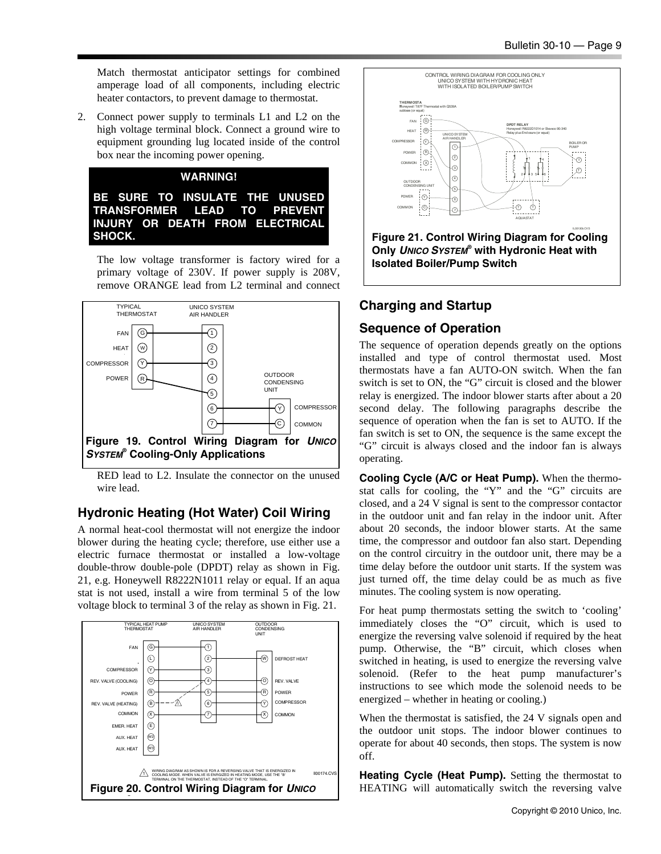Match thermostat anticipator settings for combined amperage load of all components, including electric heater contactors, to prevent damage to thermostat.

2. Connect power supply to terminals L1 and L2 on the high voltage terminal block. Connect a ground wire to equipment grounding lug located inside of the control box near the incoming power opening.

#### **WARNING!**

**BE SURE TO INSULATE THE UNUSED TRANSFORMER LEAD TO PREVENT INJURY OR DEATH FROM ELECTRICAL SHOCK.** 

The low voltage transformer is factory wired for a primary voltage of 230V. If power supply is 208V, remove ORANGE lead from L2 terminal and connect



RED lead to L2. Insulate the connector on the unused wire lead.

## **Hydronic Heating (Hot Water) Coil Wiring**

A normal heat-cool thermostat will not energize the indoor blower during the heating cycle; therefore, use either use a electric furnace thermostat or installed a low-voltage double-throw double-pole (DPDT) relay as shown in Fig. 21, e.g. Honeywell R8222N1011 relay or equal. If an aqua stat is not used, install a wire from terminal 5 of the low voltage block to terminal 3 of the relay as shown in Fig. 21.





# **Charging and Startup**

## **Sequence of Operation**

The sequence of operation depends greatly on the options installed and type of control thermostat used. Most thermostats have a fan AUTO-ON switch. When the fan switch is set to ON, the "G" circuit is closed and the blower relay is energized. The indoor blower starts after about a 20 second delay. The following paragraphs describe the sequence of operation when the fan is set to AUTO. If the fan switch is set to ON, the sequence is the same except the "G" circuit is always closed and the indoor fan is always operating.

**Cooling Cycle (A/C or Heat Pump).** When the thermostat calls for cooling, the "Y" and the "G" circuits are closed, and a 24 V signal is sent to the compressor contactor in the outdoor unit and fan relay in the indoor unit. After about 20 seconds, the indoor blower starts. At the same time, the compressor and outdoor fan also start. Depending on the control circuitry in the outdoor unit, there may be a time delay before the outdoor unit starts. If the system was just turned off, the time delay could be as much as five minutes. The cooling system is now operating.

For heat pump thermostats setting the switch to 'cooling' immediately closes the "O" circuit, which is used to energize the reversing valve solenoid if required by the heat pump. Otherwise, the "B" circuit, which closes when switched in heating, is used to energize the reversing valve solenoid. (Refer to the heat pump manufacturer's instructions to see which mode the solenoid needs to be energized – whether in heating or cooling.)

When the thermostat is satisfied, the 24 V signals open and the outdoor unit stops. The indoor blower continues to operate for about 40 seconds, then stops. The system is now off.

**Heating Cycle (Heat Pump).** Setting the thermostat to HEATING will automatically switch the reversing valve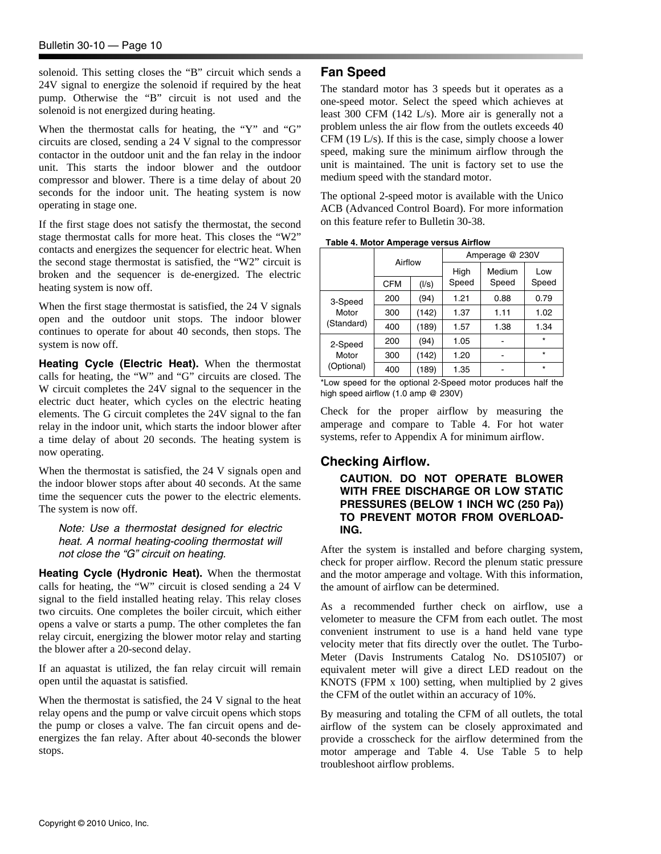solenoid. This setting closes the "B" circuit which sends a 24V signal to energize the solenoid if required by the heat pump. Otherwise the "B" circuit is not used and the solenoid is not energized during heating.

When the thermostat calls for heating, the "Y" and "G" circuits are closed, sending a 24 V signal to the compressor contactor in the outdoor unit and the fan relay in the indoor unit. This starts the indoor blower and the outdoor compressor and blower. There is a time delay of about 20 seconds for the indoor unit. The heating system is now operating in stage one.

If the first stage does not satisfy the thermostat, the second stage thermostat calls for more heat. This closes the "W2" contacts and energizes the sequencer for electric heat. When the second stage thermostat is satisfied, the "W2" circuit is broken and the sequencer is de-energized. The electric heating system is now off.

When the first stage thermostat is satisfied, the 24 V signals open and the outdoor unit stops. The indoor blower continues to operate for about 40 seconds, then stops. The system is now off.

**Heating Cycle (Electric Heat).** When the thermostat calls for heating, the "W" and "G" circuits are closed. The W circuit completes the 24V signal to the sequencer in the electric duct heater, which cycles on the electric heating elements. The G circuit completes the 24V signal to the fan relay in the indoor unit, which starts the indoor blower after a time delay of about 20 seconds. The heating system is now operating.

When the thermostat is satisfied, the 24 V signals open and the indoor blower stops after about 40 seconds. At the same time the sequencer cuts the power to the electric elements. The system is now off.

*Note: Use a thermostat designed for electric heat. A normal heating-cooling thermostat will not close the "G" circuit on heating.* 

**Heating Cycle (Hydronic Heat).** When the thermostat calls for heating, the "W" circuit is closed sending a 24 V signal to the field installed heating relay. This relay closes two circuits. One completes the boiler circuit, which either opens a valve or starts a pump. The other completes the fan relay circuit, energizing the blower motor relay and starting the blower after a 20-second delay.

If an aquastat is utilized, the fan relay circuit will remain open until the aquastat is satisfied.

When the thermostat is satisfied, the 24 V signal to the heat relay opens and the pump or valve circuit opens which stops the pump or closes a valve. The fan circuit opens and deenergizes the fan relay. After about 40-seconds the blower stops.

### **Fan Speed**

The standard motor has 3 speeds but it operates as a one-speed motor. Select the speed which achieves at least 300 CFM (142 L/s). More air is generally not a problem unless the air flow from the outlets exceeds 40 CFM (19 L/s). If this is the case, simply choose a lower speed, making sure the minimum airflow through the unit is maintained. The unit is factory set to use the medium speed with the standard motor.

The optional 2-speed motor is available with the Unico ACB (Advanced Control Board). For more information on this feature refer to Bulletin 30-38.

|                     | Airflow    |       | Amperage @ 230V |        |         |  |  |
|---------------------|------------|-------|-----------------|--------|---------|--|--|
|                     |            |       | High            | Medium | Low     |  |  |
|                     | <b>CFM</b> | (1/s) | Speed           | Speed  | Speed   |  |  |
| 3-Speed             | 200        | (94)  | 1.21            | 0.88   | 0.79    |  |  |
| Motor<br>(Standard) | 300        | (142) | 1.37            | 1.11   | 1.02    |  |  |
|                     | 400        | (189) | 1.57            | 1.38   | 1.34    |  |  |
| 2-Speed             | 200        | (94)  | 1.05            |        | $\star$ |  |  |
| Motor<br>(Optional) | 300        | (142) | 1.20            |        | $\star$ |  |  |
|                     | 400        | (189) | 1.35            |        | $\star$ |  |  |

**Table 4. Motor Amperage versus Airflow**

Check for the proper airflow by measuring the amperage and compare to Table 4. For hot water systems, refer to Appendix A for minimum airflow.

#### **Checking Airflow.**

#### **CAUTION. DO NOT OPERATE BLOWER WITH FREE DISCHARGE OR LOW STATIC PRESSURES (BELOW 1 INCH WC (250 Pa)) TO PREVENT MOTOR FROM OVERLOAD-ING.**

After the system is installed and before charging system, check for proper airflow. Record the plenum static pressure and the motor amperage and voltage. With this information, the amount of airflow can be determined.

As a recommended further check on airflow, use a velometer to measure the CFM from each outlet. The most convenient instrument to use is a hand held vane type velocity meter that fits directly over the outlet. The Turbo-Meter (Davis Instruments Catalog No. DS105I07) or equivalent meter will give a direct LED readout on the KNOTS (FPM x 100) setting, when multiplied by 2 gives the CFM of the outlet within an accuracy of 10%.

By measuring and totaling the CFM of all outlets, the total airflow of the system can be closely approximated and provide a crosscheck for the airflow determined from the motor amperage and Table 4. Use Table 5 to help troubleshoot airflow problems.

<sup>\*</sup>Low speed for the optional 2-Speed motor produces half the high speed airflow (1.0 amp @ 230V)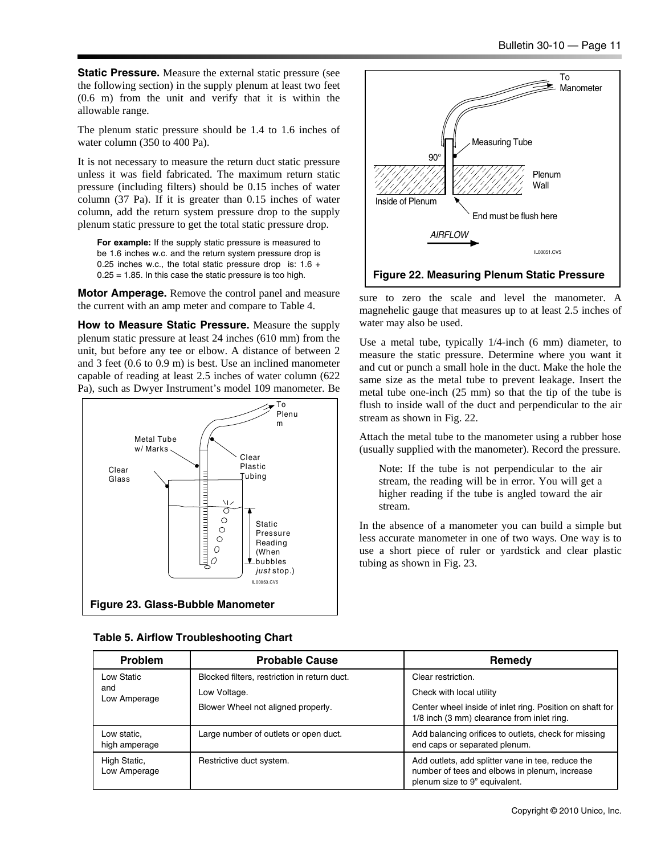**Static Pressure.** Measure the external static pressure (see the following section) in the supply plenum at least two feet (0.6 m) from the unit and verify that it is within the allowable range.

The plenum static pressure should be 1.4 to 1.6 inches of water column (350 to 400 Pa).

It is not necessary to measure the return duct static pressure unless it was field fabricated. The maximum return static pressure (including filters) should be 0.15 inches of water column (37 Pa). If it is greater than 0.15 inches of water column, add the return system pressure drop to the supply plenum static pressure to get the total static pressure drop.

**For example:** If the supply static pressure is measured to be 1.6 inches w.c. and the return system pressure drop is 0.25 inches w.c., the total static pressure drop is:  $1.6 +$  $0.25 = 1.85$ . In this case the static pressure is too high.

**Motor Amperage.** Remove the control panel and measure the current with an amp meter and compare to Table 4.

**How to Measure Static Pressure.** Measure the supply plenum static pressure at least 24 inches (610 mm) from the unit, but before any tee or elbow. A distance of between 2 and 3 feet (0.6 to 0.9 m) is best. Use an inclined manometer capable of reading at least 2.5 inches of water column (622 Pa), such as Dwyer Instrument's model 109 manometer. Be





**Figure 22. Measuring Plenum Static Pressure** 

sure to zero the scale and level the manometer. A magnehelic gauge that measures up to at least 2.5 inches of water may also be used.

Use a metal tube, typically 1/4-inch (6 mm) diameter, to measure the static pressure. Determine where you want it and cut or punch a small hole in the duct. Make the hole the same size as the metal tube to prevent leakage. Insert the metal tube one-inch (25 mm) so that the tip of the tube is flush to inside wall of the duct and perpendicular to the air stream as shown in Fig. 22.

Attach the metal tube to the manometer using a rubber hose (usually supplied with the manometer). Record the pressure.

Note: If the tube is not perpendicular to the air stream, the reading will be in error. You will get a higher reading if the tube is angled toward the air stream.

In the absence of a manometer you can build a simple but less accurate manometer in one of two ways. One way is to use a short piece of ruler or yardstick and clear plastic tubing as shown in Fig. 23.

| <b>Problem</b>               | <b>Probable Cause</b>                        | Remedy                                                                                                                              |
|------------------------------|----------------------------------------------|-------------------------------------------------------------------------------------------------------------------------------------|
| Low Static                   | Blocked filters, restriction in return duct. | Clear restriction.                                                                                                                  |
| and                          | Low Voltage.                                 | Check with local utility                                                                                                            |
| Low Amperage                 | Blower Wheel not aligned properly.           | Center wheel inside of inlet ring. Position on shaft for<br>1/8 inch (3 mm) clearance from inlet ring.                              |
| Low static.<br>high amperage | Large number of outlets or open duct.        | Add balancing orifices to outlets, check for missing<br>end caps or separated plenum.                                               |
| High Static,<br>Low Amperage | Restrictive duct system.                     | Add outlets, add splitter vane in tee, reduce the<br>number of tees and elbows in plenum, increase<br>plenum size to 9" equivalent. |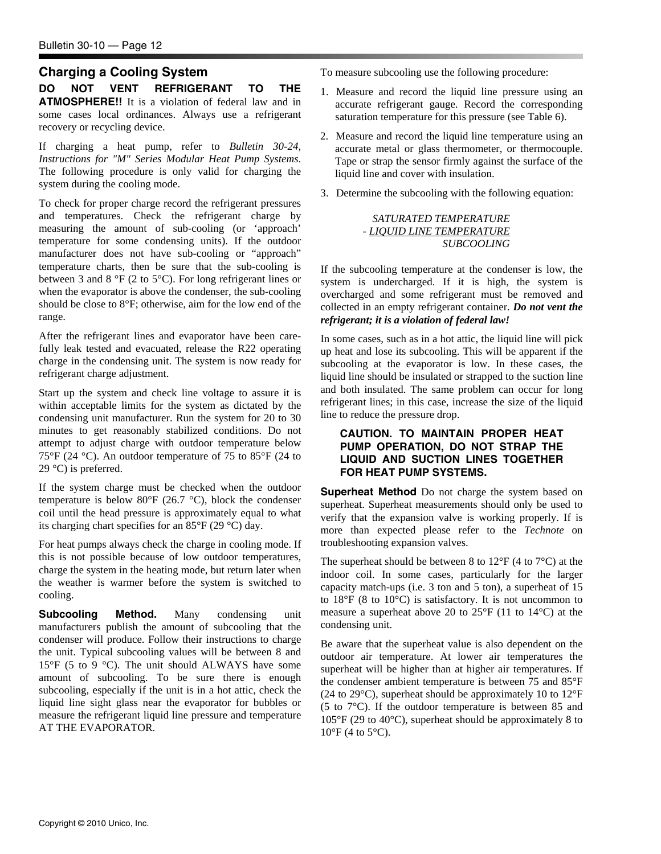#### **Charging a Cooling System**

**DO NOT VENT REFRIGERANT TO THE ATMOSPHERE!!** It is a violation of federal law and in some cases local ordinances. Always use a refrigerant recovery or recycling device.

If charging a heat pump, refer to *Bulletin 30-24, Instructions for "M" Series Modular Heat Pump Systems*. The following procedure is only valid for charging the system during the cooling mode.

To check for proper charge record the refrigerant pressures and temperatures. Check the refrigerant charge by measuring the amount of sub-cooling (or 'approach' temperature for some condensing units). If the outdoor manufacturer does not have sub-cooling or "approach" temperature charts, then be sure that the sub-cooling is between 3 and 8 °F (2 to 5°C). For long refrigerant lines or when the evaporator is above the condenser, the sub-cooling should be close to 8°F; otherwise, aim for the low end of the range.

After the refrigerant lines and evaporator have been carefully leak tested and evacuated, release the R22 operating charge in the condensing unit. The system is now ready for refrigerant charge adjustment.

Start up the system and check line voltage to assure it is within acceptable limits for the system as dictated by the condensing unit manufacturer. Run the system for 20 to 30 minutes to get reasonably stabilized conditions. Do not attempt to adjust charge with outdoor temperature below 75°F (24 °C). An outdoor temperature of 75 to 85°F (24 to 29 °C) is preferred.

If the system charge must be checked when the outdoor temperature is below 80 $\degree$ F (26.7  $\degree$ C), block the condenser coil until the head pressure is approximately equal to what its charging chart specifies for an 85°F (29 °C) day.

For heat pumps always check the charge in cooling mode. If this is not possible because of low outdoor temperatures, charge the system in the heating mode, but return later when the weather is warmer before the system is switched to cooling.

**Subcooling Method.** Many condensing unit manufacturers publish the amount of subcooling that the condenser will produce. Follow their instructions to charge the unit. Typical subcooling values will be between 8 and 15°F (5 to 9 °C). The unit should ALWAYS have some amount of subcooling. To be sure there is enough subcooling, especially if the unit is in a hot attic, check the liquid line sight glass near the evaporator for bubbles or measure the refrigerant liquid line pressure and temperature AT THE EVAPORATOR.

To measure subcooling use the following procedure:

- 1. Measure and record the liquid line pressure using an accurate refrigerant gauge. Record the corresponding saturation temperature for this pressure (see Table 6).
- 2. Measure and record the liquid line temperature using an accurate metal or glass thermometer, or thermocouple. Tape or strap the sensor firmly against the surface of the liquid line and cover with insulation.
- 3. Determine the subcooling with the following equation:

#### *SATURATED TEMPERATURE - LIQUID LINE TEMPERATURE SUBCOOLING*

If the subcooling temperature at the condenser is low, the system is undercharged. If it is high, the system is overcharged and some refrigerant must be removed and collected in an empty refrigerant container. *Do not vent the refrigerant; it is a violation of federal law!*

In some cases, such as in a hot attic, the liquid line will pick up heat and lose its subcooling. This will be apparent if the subcooling at the evaporator is low. In these cases, the liquid line should be insulated or strapped to the suction line and both insulated. The same problem can occur for long refrigerant lines; in this case, increase the size of the liquid line to reduce the pressure drop.

#### **CAUTION. TO MAINTAIN PROPER HEAT PUMP OPERATION, DO NOT STRAP THE LIQUID AND SUCTION LINES TOGETHER FOR HEAT PUMP SYSTEMS.**

**Superheat Method** Do not charge the system based on superheat. Superheat measurements should only be used to verify that the expansion valve is working properly. If is more than expected please refer to the *Technote* on troubleshooting expansion valves.

The superheat should be between 8 to  $12^{\circ}$ F (4 to  $7^{\circ}$ C) at the indoor coil. In some cases, particularly for the larger capacity match-ups (i.e. 3 ton and 5 ton), a superheat of 15 to 18°F (8 to 10°C) is satisfactory. It is not uncommon to measure a superheat above 20 to  $25^{\circ}F$  (11 to  $14^{\circ}C$ ) at the condensing unit.

Be aware that the superheat value is also dependent on the outdoor air temperature. At lower air temperatures the superheat will be higher than at higher air temperatures. If the condenser ambient temperature is between 75 and 85°F (24 to 29°C), superheat should be approximately 10 to 12°F (5 to 7°C). If the outdoor temperature is between 85 and  $105^{\circ}$ F (29 to 40 $^{\circ}$ C), superheat should be approximately 8 to  $10^{\circ}$ F (4 to 5 $^{\circ}$ C).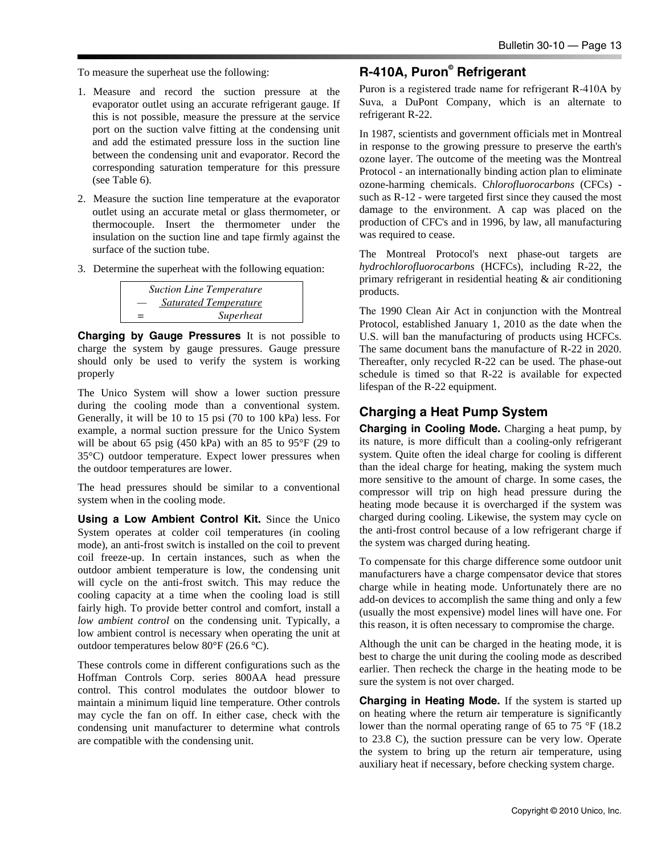To measure the superheat use the following:

#### 1. Measure and record the suction pressure at the evaporator outlet using an accurate refrigerant gauge. If this is not possible, measure the pressure at the service port on the suction valve fitting at the condensing unit and add the estimated pressure loss in the suction line between the condensing unit and evaporator. Record the corresponding saturation temperature for this pressure (see Table 6).

- 2. Measure the suction line temperature at the evaporator outlet using an accurate metal or glass thermometer, or thermocouple. Insert the thermometer under the insulation on the suction line and tape firmly against the surface of the suction tube.
- 3. Determine the superheat with the following equation:

|     | <b>Suction Line Temperature</b> |
|-----|---------------------------------|
|     | <b>Saturated Temperature</b>    |
| $=$ | Superheat                       |

**Charging by Gauge Pressures** It is not possible to charge the system by gauge pressures. Gauge pressure should only be used to verify the system is working properly

The Unico System will show a lower suction pressure during the cooling mode than a conventional system. Generally, it will be 10 to 15 psi (70 to 100 kPa) less. For example, a normal suction pressure for the Unico System will be about 65 psig (450 kPa) with an 85 to 95°F (29 to 35°C) outdoor temperature. Expect lower pressures when the outdoor temperatures are lower.

The head pressures should be similar to a conventional system when in the cooling mode.

**Using a Low Ambient Control Kit.** Since the Unico System operates at colder coil temperatures (in cooling mode), an anti-frost switch is installed on the coil to prevent coil freeze-up. In certain instances, such as when the outdoor ambient temperature is low, the condensing unit will cycle on the anti-frost switch. This may reduce the cooling capacity at a time when the cooling load is still fairly high. To provide better control and comfort, install a *low ambient control* on the condensing unit. Typically, a low ambient control is necessary when operating the unit at outdoor temperatures below 80°F (26.6 °C).

These controls come in different configurations such as the Hoffman Controls Corp. series 800AA head pressure control. This control modulates the outdoor blower to maintain a minimum liquid line temperature. Other controls may cycle the fan on off. In either case, check with the condensing unit manufacturer to determine what controls are compatible with the condensing unit.

## **R-410A, Puron© Refrigerant**

Puron is a registered trade name for refrigerant R-410A by Suva, a DuPont Company, which is an alternate to refrigerant R-22.

In 1987, scientists and government officials met in Montreal in response to the growing pressure to preserve the earth's ozone layer. The outcome of the meeting was the Montreal Protocol - an internationally binding action plan to eliminate ozone-harming chemicals. C*hlorofluorocarbons* (CFCs) such as R-12 - were targeted first since they caused the most damage to the environment. A cap was placed on the production of CFC's and in 1996, by law, all manufacturing was required to cease.

The Montreal Protocol's next phase-out targets are *hydrochlorofluorocarbons* (HCFCs), including R-22, the primary refrigerant in residential heating & air conditioning products.

The 1990 Clean Air Act in conjunction with the Montreal Protocol, established January 1, 2010 as the date when the U.S. will ban the manufacturing of products using HCFCs. The same document bans the manufacture of R-22 in 2020. Thereafter, only recycled R-22 can be used. The phase-out schedule is timed so that R-22 is available for expected lifespan of the R-22 equipment.

## **Charging a Heat Pump System**

**Charging in Cooling Mode.** Charging a heat pump, by its nature, is more difficult than a cooling-only refrigerant system. Quite often the ideal charge for cooling is different than the ideal charge for heating, making the system much more sensitive to the amount of charge. In some cases, the compressor will trip on high head pressure during the heating mode because it is overcharged if the system was charged during cooling. Likewise, the system may cycle on the anti-frost control because of a low refrigerant charge if the system was charged during heating.

To compensate for this charge difference some outdoor unit manufacturers have a charge compensator device that stores charge while in heating mode. Unfortunately there are no add-on devices to accomplish the same thing and only a few (usually the most expensive) model lines will have one. For this reason, it is often necessary to compromise the charge.

Although the unit can be charged in the heating mode, it is best to charge the unit during the cooling mode as described earlier. Then recheck the charge in the heating mode to be sure the system is not over charged.

**Charging in Heating Mode.** If the system is started up on heating where the return air temperature is significantly lower than the normal operating range of 65 to 75 °F (18.2) to 23.8 C), the suction pressure can be very low. Operate the system to bring up the return air temperature, using auxiliary heat if necessary, before checking system charge.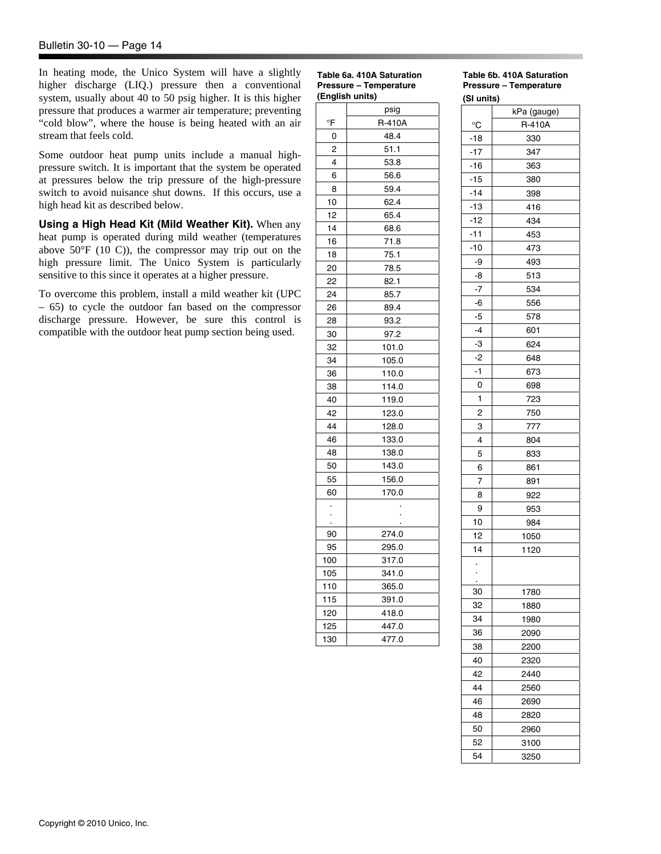In heating mode, the Unico System will have a slightly higher discharge (LIQ.) pressure then a conventional system, usually about 40 to 50 psig higher. It is this higher pressure that produces a warmer air temperature; preventing "cold blow", where the house is being heated with an air stream that feels cold.

Some outdoor heat pump units include a manual highpressure switch. It is important that the system be operated at pressures below the trip pressure of the high-pressure switch to avoid nuisance shut downs. If this occurs, use a high head kit as described below.

**Using a High Head Kit (Mild Weather Kit).** When any heat pump is operated during mild weather (temperatures above 50°F (10 C)), the compressor may trip out on the high pressure limit. The Unico System is particularly sensitive to this since it operates at a higher pressure.

To overcome this problem, install a mild weather kit (UPC – 65) to cycle the outdoor fan based on the compressor discharge pressure. However, be sure this control is compatible with the outdoor heat pump section being used.

### **Table 6a. 410A Saturation Pressure – Temperature**

| (English units) |        |  |  |  |  |  |
|-----------------|--------|--|--|--|--|--|
|                 | psig   |  |  |  |  |  |
| °F              | R-410A |  |  |  |  |  |
| 0               | 48.4   |  |  |  |  |  |
| 2               | 51.1   |  |  |  |  |  |
| 4               | 53.8   |  |  |  |  |  |
| 6               | 56.6   |  |  |  |  |  |
| 8               | 59.4   |  |  |  |  |  |
| 10              | 62.4   |  |  |  |  |  |
| 12              | 65.4   |  |  |  |  |  |
| 14              | 68.6   |  |  |  |  |  |
| 16              | 71.8   |  |  |  |  |  |
| 18              | 75.1   |  |  |  |  |  |
| 20              | 78.5   |  |  |  |  |  |
| 22              | 82.1   |  |  |  |  |  |
| 24              | 85.7   |  |  |  |  |  |
| 26              | 89.4   |  |  |  |  |  |
| 28              | 93.2   |  |  |  |  |  |
| 30              | 97.2   |  |  |  |  |  |
| 32              | 101.0  |  |  |  |  |  |
| 34              | 105.0  |  |  |  |  |  |
| 36              | 110.0  |  |  |  |  |  |
| 38              | 114.0  |  |  |  |  |  |
| 40              | 119.0  |  |  |  |  |  |
| 42              | 123.0  |  |  |  |  |  |
| 44              | 128.0  |  |  |  |  |  |
| 46              | 133.0  |  |  |  |  |  |
| 48              | 138.0  |  |  |  |  |  |
| 50              | 143.0  |  |  |  |  |  |
| 55              | 156.0  |  |  |  |  |  |
| 60              | 170.0  |  |  |  |  |  |
|                 |        |  |  |  |  |  |
| l,              |        |  |  |  |  |  |
| 90              | 274.0  |  |  |  |  |  |
| 95              | 295.0  |  |  |  |  |  |
| 100             | 317.0  |  |  |  |  |  |
| 105             | 341.0  |  |  |  |  |  |
| 110             | 365.0  |  |  |  |  |  |
| 115             | 391.0  |  |  |  |  |  |
| 120             | 418.0  |  |  |  |  |  |
| 125             | 447.0  |  |  |  |  |  |
| 130             | 477.0  |  |  |  |  |  |

# **Table 6b. 410A Saturation Pressure – Temperature**

| (SI units)   |             |
|--------------|-------------|
|              | kPa (gauge) |
| $^{\circ}C$  | R-410A      |
| -18          | 330         |
| $-17$        | 347         |
| $-16$        | 363         |
| $-15$        | 380         |
| -14          | 398         |
| $-13$        | 416         |
| $-12$        | 434         |
| $-11$        | 453         |
| -10          | 473         |
| -9           | 493         |
| -8           | 513         |
| $-7$         | 534         |
| -6           | 556         |
| $-5$         | 578         |
| $-4$         | 601         |
| $-3$         | 624         |
| -2           | 648         |
| -1           | 673         |
| 0            | 698         |
| $\mathbf{1}$ | 723         |
| 2            | 750         |
| 3            | 777         |
| 4            | 804         |
| 5            | 833         |
| 6            | 861         |
| 7            | 891         |
| 8            | 922         |
| 9            | 953         |
| 10           | 984         |
| 12           | 1050        |
| 14           | 1120        |
| $\bullet$    |             |
| 30           | 1780        |
| 32           | 1880        |
| 34           | 1980        |
| 36           | 2090        |
| 38           | 2200        |
| 40           | 2320        |
| 42           | 2440        |
| 44           | 2560        |
| 46           | 2690        |
| 48           | 2820        |
| 50           | 2960        |
| 52           | 3100        |
| 54           | 3250        |
|              |             |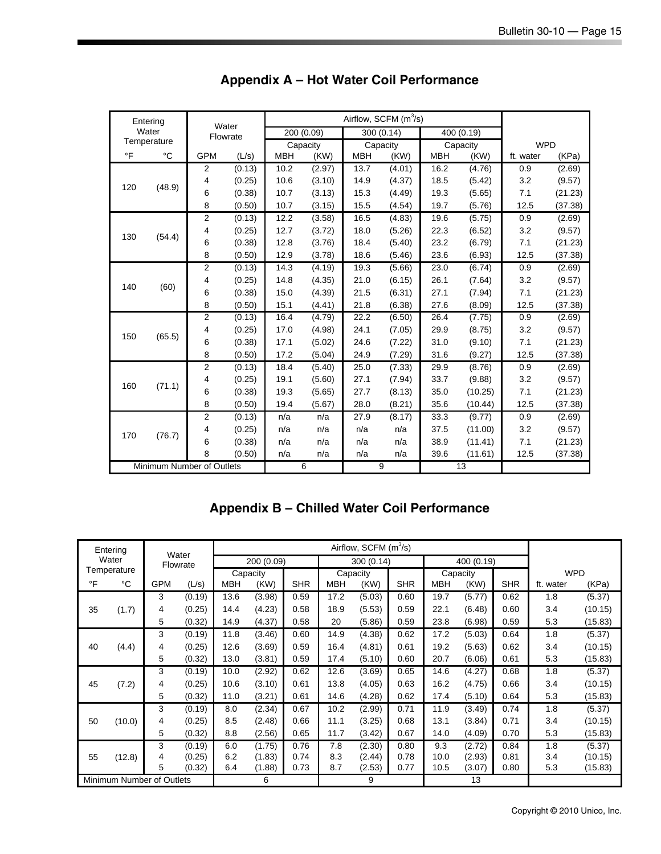|     | Entering                  |                | Water    |            |            | Airflow, SCFM (m <sup>3</sup> /s) |            |            |            |            |         |
|-----|---------------------------|----------------|----------|------------|------------|-----------------------------------|------------|------------|------------|------------|---------|
|     | Water                     |                | Flowrate |            | 200 (0.09) |                                   | 300 (0.14) |            | 400 (0.19) |            |         |
|     | Temperature               |                |          | Capacity   |            | Capacity                          |            |            | Capacity   | <b>WPD</b> |         |
| °F  | °C                        | <b>GPM</b>     | (L/s)    | <b>MBH</b> | (KW)       | <b>MBH</b>                        | (KW)       | <b>MBH</b> | (KW)       | ft. water  | (KPa)   |
|     |                           | $\overline{2}$ | (0.13)   | 10.2       | (2.97)     | 13.7                              | (4.01)     | 16.2       | (4.76)     | 0.9        | (2.69)  |
| 120 |                           | 4              | (0.25)   | 10.6       | (3.10)     | 14.9                              | (4.37)     | 18.5       | (5.42)     | 3.2        | (9.57)  |
|     | (48.9)                    | 6              | (0.38)   | 10.7       | (3.13)     | 15.3                              | (4.49)     | 19.3       | (5.65)     | 7.1        | (21.23) |
|     |                           | 8              | (0.50)   | 10.7       | (3.15)     | 15.5                              | (4.54)     | 19.7       | (5.76)     | 12.5       | (37.38) |
|     |                           | $\overline{2}$ | (0.13)   | 12.2       | (3.58)     | 16.5                              | (4.83)     | 19.6       | (5.75)     | 0.9        | (2.69)  |
|     |                           | 4              | (0.25)   | 12.7       | (3.72)     | 18.0                              | (5.26)     | 22.3       | (6.52)     | 3.2        | (9.57)  |
| 130 | (54.4)                    | 6              | (0.38)   | 12.8       | (3.76)     | 18.4                              | (5.40)     | 23.2       | (6.79)     | 7.1        | (21.23) |
|     |                           | 8              | (0.50)   | 12.9       | (3.78)     | 18.6                              | (5.46)     | 23.6       | (6.93)     | 12.5       | (37.38) |
|     |                           | $\overline{2}$ | (0.13)   | 14.3       | (4.19)     | 19.3                              | (5.66)     | 23.0       | (6.74)     | 0.9        | (2.69)  |
| 140 | (60)                      | 4              | (0.25)   | 14.8       | (4.35)     | 21.0                              | (6.15)     | 26.1       | (7.64)     | 3.2        | (9.57)  |
|     |                           | 6              | (0.38)   | 15.0       | (4.39)     | 21.5                              | (6.31)     | 27.1       | (7.94)     | 7.1        | (21.23) |
|     |                           | 8              | (0.50)   | 15.1       | (4.41)     | 21.8                              | (6.38)     | 27.6       | (8.09)     | 12.5       | (37.38) |
|     |                           | $\overline{2}$ | (0.13)   | 16.4       | (4.79)     | 22.2                              | (6.50)     | 26.4       | (7.75)     | 0.9        | (2.69)  |
|     |                           | 4              | (0.25)   | 17.0       | (4.98)     | 24.1                              | (7.05)     | 29.9       | (8.75)     | 3.2        | (9.57)  |
| 150 | (65.5)                    | 6              | (0.38)   | 17.1       | (5.02)     | 24.6                              | (7.22)     | 31.0       | (9.10)     | 7.1        | (21.23) |
|     |                           | 8              | (0.50)   | 17.2       | (5.04)     | 24.9                              | (7.29)     | 31.6       | (9.27)     | 12.5       | (37.38) |
|     |                           | $\overline{2}$ | (0.13)   | 18.4       | (5.40)     | 25.0                              | (7.33)     | 29.9       | (8.76)     | 0.9        | (2.69)  |
| 160 |                           | 4              | (0.25)   | 19.1       | (5.60)     | 27.1                              | (7.94)     | 33.7       | (9.88)     | 3.2        | (9.57)  |
|     | (71.1)                    | 6              | (0.38)   | 19.3       | (5.65)     | 27.7                              | (8.13)     | 35.0       | (10.25)    | 7.1        | (21.23) |
|     |                           | 8              | (0.50)   | 19.4       | (5.67)     | 28.0                              | (8.21)     | 35.6       | (10.44)    | 12.5       | (37.38) |
|     |                           | $\overline{2}$ | (0.13)   | n/a        | n/a        | 27.9                              | (8.17)     | 33.3       | (9.77)     | 0.9        | (2.69)  |
| 170 |                           | 4              | (0.25)   | n/a        | n/a        | n/a                               | n/a        | 37.5       | (11.00)    | 3.2        | (9.57)  |
|     | (76.7)                    | 6              | (0.38)   | n/a        | n/a        | n/a                               | n/a        | 38.9       | (11.41)    | 7.1        | (21.23) |
|     |                           | 8              | (0.50)   | n/a        | n/a        | n/a                               | n/a        | 39.6       | (11.61)    | 12.5       | (37.38) |
|     | Minimum Number of Outlets |                |          |            | 6          |                                   | 9          |            | 13         |            |         |

# **Appendix A – Hot Water Coil Performance**

# **Appendix B – Chilled Water Coil Performance**

| Entering<br>Water<br>Temperature |        | Water<br>Flowrate |        | Airflow, SCFM (m <sup>3</sup> /s) |        |            |            |        |            |            |        |            |            |         |
|----------------------------------|--------|-------------------|--------|-----------------------------------|--------|------------|------------|--------|------------|------------|--------|------------|------------|---------|
|                                  |        |                   |        | 200 (0.09)                        |        |            | 300 (0.14) |        |            | 400 (0.19) |        |            |            |         |
|                                  |        |                   |        | Capacity                          |        |            | Capacity   |        |            | Capacity   |        |            | <b>WPD</b> |         |
| $\circ$ F                        | °C     | <b>GPM</b>        | (L/s)  | <b>MBH</b>                        | (KW)   | <b>SHR</b> | <b>MBH</b> | (KW)   | <b>SHR</b> | MBH        | (KW)   | <b>SHR</b> | ft. water  | (KPa)   |
| 35                               | (1.7)  | 3                 | (0.19) | 13.6                              | (3.98) | 0.59       | 17.2       | (5.03) | 0.60       | 19.7       | (5.77) | 0.62       | 1.8        | (5.37)  |
|                                  |        | 4                 | (0.25) | 14.4                              | (4.23) | 0.58       | 18.9       | (5.53) | 0.59       | 22.1       | (6.48) | 0.60       | 3.4        | (10.15) |
|                                  |        | 5                 | (0.32) | 14.9                              | (4.37) | 0.58       | 20         | (5.86) | 0.59       | 23.8       | (6.98) | 0.59       | 5.3        | (15.83) |
| 40                               | (4.4)  | 3                 | (0.19) | 11.8                              | (3.46) | 0.60       | 14.9       | (4.38) | 0.62       | 17.2       | (5.03) | 0.64       | 1.8        | (5.37)  |
|                                  |        | 4                 | (0.25) | 12.6                              | (3.69) | 0.59       | 16.4       | (4.81) | 0.61       | 19.2       | (5.63) | 0.62       | 3.4        | (10.15) |
|                                  |        | 5                 | (0.32) | 13.0                              | (3.81) | 0.59       | 17.4       | (5.10) | 0.60       | 20.7       | (6.06) | 0.61       | 5.3        | (15.83) |
| 45                               | (7.2)  | 3                 | (0.19) | 10.0                              | (2.92) | 0.62       | 12.6       | (3.69) | 0.65       | 14.6       | (4.27) | 0.68       | 1.8        | (5.37)  |
|                                  |        | 4                 | (0.25) | 10.6                              | (3.10) | 0.61       | 13.8       | (4.05) | 0.63       | 16.2       | (4.75) | 0.66       | 3.4        | (10.15) |
|                                  |        | 5                 | (0.32) | 11.0                              | (3.21) | 0.61       | 14.6       | (4.28) | 0.62       | 17.4       | (5.10) | 0.64       | 5.3        | (15.83) |
| 50                               | (10.0) | 3                 | (0.19) | 8.0                               | (2.34) | 0.67       | 10.2       | (2.99) | 0.71       | 11.9       | (3.49) | 0.74       | 1.8        | (5.37)  |
|                                  |        | 4                 | (0.25) | 8.5                               | (2.48) | 0.66       | 11.1       | (3.25) | 0.68       | 13.1       | (3.84) | 0.71       | 3.4        | (10.15) |
|                                  |        | 5                 | (0.32) | 8.8                               | (2.56) | 0.65       | 11.7       | (3.42) | 0.67       | 14.0       | (4.09) | 0.70       | 5.3        | (15.83) |
| 55                               | (12.8) | 3                 | (0.19) | 6.0                               | (1.75) | 0.76       | 7.8        | (2.30) | 0.80       | 9.3        | (2.72) | 0.84       | 1.8        | (5.37)  |
|                                  |        | 4                 | (0.25) | 6.2                               | (1.83) | 0.74       | 8.3        | (2.44) | 0.78       | 10.0       | (2.93) | 0.81       | 3.4        | (10.15) |
|                                  |        | 5                 | (0.32) | 6.4                               | (1.88) | 0.73       | 8.7        | (2.53) | 0.77       | 10.5       | (3.07) | 0.80       | 5.3        | (15.83) |
| Minimum Number of Outlets        |        |                   |        | 6                                 |        |            | 9          |        |            | 13         |        |            |            |         |